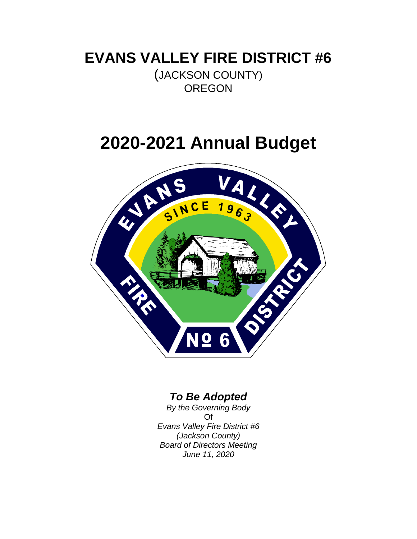# **EVANS VALLEY FIRE DISTRICT #6**

(JACKSON COUNTY) **OREGON** 

# **2020-2021 Annual Budget**



## *To Be Adopted*

*By the Governing Body* Of *Evans Valley Fire District #6 (Jackson County) Board of Directors Meeting June 11, 2020*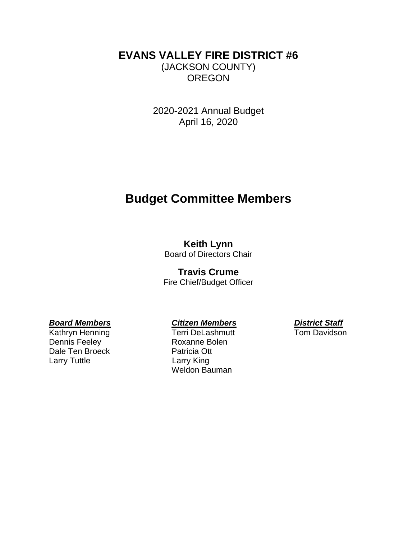## **EVANS VALLEY FIRE DISTRICT #6** (JACKSON COUNTY) **OREGON**

2020-2021 Annual Budget April 16, 2020

# **Budget Committee Members**

### **Keith Lynn**

Board of Directors Chair

### **Travis Crume**

Fire Chief/Budget Officer

Dennis Feeley **Roxanne Bolen** Dale Ten Broeck Patricia Ott Larry Tuttle **Larry King** 

Kathryn Henning Terri DeLashmutt Tom Davidson Weldon Bauman

*Board Members Citizen Members District Staff*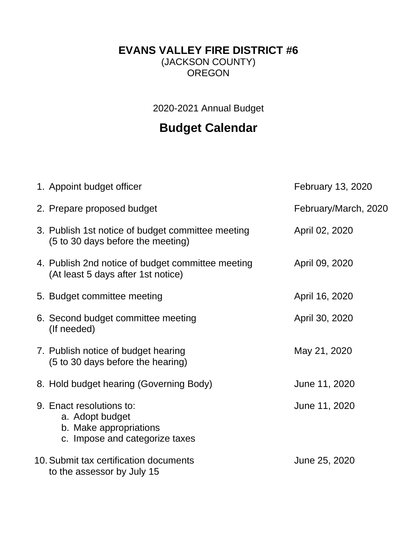## **EVANS VALLEY FIRE DISTRICT #6**

(JACKSON COUNTY) OREGON

2020-2021 Annual Budget

# **Budget Calendar**

| 1. Appoint budget officer                                                                               | February 13, 2020    |
|---------------------------------------------------------------------------------------------------------|----------------------|
| 2. Prepare proposed budget                                                                              | February/March, 2020 |
| 3. Publish 1st notice of budget committee meeting<br>(5 to 30 days before the meeting)                  | April 02, 2020       |
| 4. Publish 2nd notice of budget committee meeting<br>(At least 5 days after 1st notice)                 | April 09, 2020       |
| 5. Budget committee meeting                                                                             | April 16, 2020       |
| 6. Second budget committee meeting<br>(If needed)                                                       | April 30, 2020       |
| 7. Publish notice of budget hearing<br>(5 to 30 days before the hearing)                                | May 21, 2020         |
| 8. Hold budget hearing (Governing Body)                                                                 | June 11, 2020        |
| 9. Enact resolutions to:<br>a. Adopt budget<br>b. Make appropriations<br>c. Impose and categorize taxes | June 11, 2020        |
| 10. Submit tax certification documents<br>to the assessor by July 15                                    | June 25, 2020        |
|                                                                                                         |                      |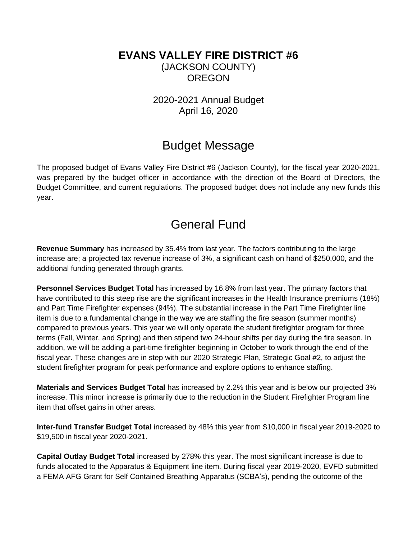## **EVANS VALLEY FIRE DISTRICT #6** (JACKSON COUNTY) **OREGON**

2020-2021 Annual Budget April 16, 2020

## Budget Message

The proposed budget of Evans Valley Fire District #6 (Jackson County), for the fiscal year 2020-2021, was prepared by the budget officer in accordance with the direction of the Board of Directors, the Budget Committee, and current regulations. The proposed budget does not include any new funds this year.

# General Fund

**Revenue Summary** has increased by 35.4% from last year. The factors contributing to the large increase are; a projected tax revenue increase of 3%, a significant cash on hand of \$250,000, and the additional funding generated through grants.

**Personnel Services Budget Total** has increased by 16.8% from last year. The primary factors that have contributed to this steep rise are the significant increases in the Health Insurance premiums (18%) and Part Time Firefighter expenses (94%). The substantial increase in the Part Time Firefighter line item is due to a fundamental change in the way we are staffing the fire season (summer months) compared to previous years. This year we will only operate the student firefighter program for three terms (Fall, Winter, and Spring) and then stipend two 24-hour shifts per day during the fire season. In addition, we will be adding a part-time firefighter beginning in October to work through the end of the fiscal year. These changes are in step with our 2020 Strategic Plan, Strategic Goal #2, to adjust the student firefighter program for peak performance and explore options to enhance staffing.

**Materials and Services Budget Total** has increased by 2.2% this year and is below our projected 3% increase. This minor increase is primarily due to the reduction in the Student Firefighter Program line item that offset gains in other areas.

**Inter-fund Transfer Budget Total** increased by 48% this year from \$10,000 in fiscal year 2019-2020 to \$19,500 in fiscal year 2020-2021.

**Capital Outlay Budget Total** increased by 278% this year. The most significant increase is due to funds allocated to the Apparatus & Equipment line item. During fiscal year 2019-2020, EVFD submitted a FEMA AFG Grant for Self Contained Breathing Apparatus (SCBA's), pending the outcome of the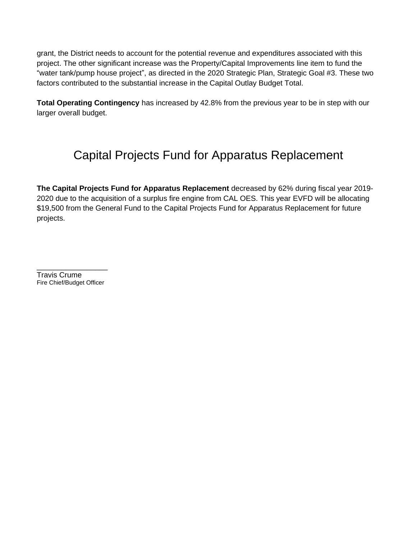grant, the District needs to account for the potential revenue and expenditures associated with this project. The other significant increase was the Property/Capital Improvements line item to fund the "water tank/pump house project", as directed in the 2020 Strategic Plan, Strategic Goal #3. These two factors contributed to the substantial increase in the Capital Outlay Budget Total.

**Total Operating Contingency** has increased by 42.8% from the previous year to be in step with our larger overall budget.

# Capital Projects Fund for Apparatus Replacement

**The Capital Projects Fund for Apparatus Replacement** decreased by 62% during fiscal year 2019- 2020 due to the acquisition of a surplus fire engine from CAL OES. This year EVFD will be allocating \$19,500 from the General Fund to the Capital Projects Fund for Apparatus Replacement for future projects.

\_\_\_\_\_\_\_\_\_\_\_\_\_\_\_\_\_ Travis Crume Fire Chief/Budget Officer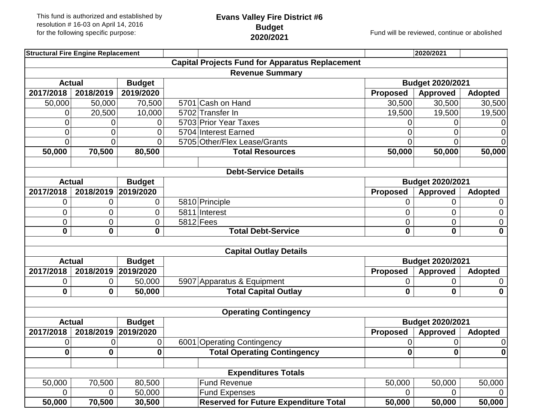# **Evans Valley Fire District #6 Budget**

**2020/2021** Fund will be reviewed, continue or abolished

| <b>Structural Fire Engine Replacement</b> |                                |                             |                           |                                                        |                      | 2020/2021               |                     |  |  |
|-------------------------------------------|--------------------------------|-----------------------------|---------------------------|--------------------------------------------------------|----------------------|-------------------------|---------------------|--|--|
|                                           |                                |                             |                           | <b>Capital Projects Fund for Apparatus Replacement</b> |                      |                         |                     |  |  |
|                                           |                                |                             |                           | <b>Revenue Summary</b>                                 |                      |                         |                     |  |  |
| <b>Actual</b>                             |                                | <b>Budget</b>               |                           |                                                        |                      | Budget 2020/2021        |                     |  |  |
| 2017/2018                                 | 2018/2019                      | 2019/2020                   |                           |                                                        | <b>Proposed</b>      | <b>Approved</b>         | <b>Adopted</b>      |  |  |
| 50,000                                    | 50,000                         | 70,500                      |                           | 5701 Cash on Hand                                      | 30,500               | 30,500                  | 30,500              |  |  |
| 0                                         | 20,500                         | 10,000                      |                           | 5702 Transfer In                                       | 19,500               | 19,500                  | 19,500              |  |  |
| 0                                         | 0                              | 0                           |                           | 5703 Prior Year Taxes                                  | 0                    | 0                       | 0                   |  |  |
| 0                                         | 0                              | 0                           |                           | 5704 Interest Earned                                   | 0                    | $\overline{0}$          | 0                   |  |  |
| 0                                         | $\overline{0}$                 | 0                           |                           | 5705 Other/Flex Lease/Grants                           | O                    | $\Omega$                | 0                   |  |  |
| 50,000                                    | 70,500                         | 80,500                      |                           | <b>Total Resources</b>                                 | 50,000               | 50,000                  | 50,000              |  |  |
|                                           |                                |                             |                           |                                                        |                      |                         |                     |  |  |
|                                           |                                |                             |                           | <b>Debt-Service Details</b>                            |                      |                         |                     |  |  |
| <b>Actual</b>                             |                                | <b>Budget</b>               |                           |                                                        |                      | <b>Budget 2020/2021</b> |                     |  |  |
| 2017/2018                                 | 2018/2019                      | 2019/2020                   |                           |                                                        | <b>Proposed</b>      | <b>Approved</b>         | <b>Adopted</b>      |  |  |
| 0                                         | 0                              | $\mathbf 0$                 |                           | 5810 Principle                                         | 0                    | 0                       | 0                   |  |  |
| 0                                         | 0                              | $\mathbf 0$                 |                           | 5811 Interest                                          | 0                    | 0                       | 0                   |  |  |
| $\overline{0}$                            | 0                              | $\overline{0}$              |                           | $5812$ Fees                                            | $\overline{0}$       | 0                       | 0                   |  |  |
| $\mathbf 0$<br>0<br>$\mathbf{0}$          |                                |                             | <b>Total Debt-Service</b> | $\mathbf{0}$                                           | $\mathbf{0}$         | $\mathbf 0$             |                     |  |  |
|                                           |                                |                             |                           | <b>Capital Outlay Details</b>                          |                      |                         |                     |  |  |
| <b>Actual</b>                             |                                | <b>Budget</b>               |                           |                                                        |                      | <b>Budget 2020/2021</b> |                     |  |  |
| 2017/2018                                 | 2018/2019                      | 2019/2020                   |                           |                                                        | <b>Proposed</b>      | Approved                | <b>Adopted</b>      |  |  |
| 0                                         | 0                              | 50,000                      |                           | 5907 Apparatus & Equipment                             | 0                    | 0                       | 0                   |  |  |
| $\boldsymbol{0}$                          | $\mathbf 0$                    | 50,000                      |                           | <b>Total Capital Outlay</b>                            | $\mathbf{0}$         | $\boldsymbol{0}$        | $\mathbf 0$         |  |  |
|                                           |                                |                             |                           |                                                        |                      |                         |                     |  |  |
|                                           |                                |                             |                           | <b>Operating Contingency</b>                           |                      |                         |                     |  |  |
|                                           | <b>Actual</b><br><b>Budget</b> |                             |                           |                                                        |                      | Budget 2020/2021        |                     |  |  |
| 2017/2018<br>0                            | 2018/2019<br>0                 | 2019/2020<br>$\overline{0}$ |                           | 6001 Operating Contingency                             | <b>Proposed</b><br>0 | <b>Approved</b><br>0    | <b>Adopted</b><br>0 |  |  |
| $\boldsymbol{0}$                          | 0                              | 0                           |                           | <b>Total Operating Contingency</b>                     | $\mathbf{0}$         | $\pmb{0}$               | $\mathbf{0}$        |  |  |
|                                           |                                |                             |                           |                                                        |                      |                         |                     |  |  |
|                                           | <b>Expenditures Totals</b>     |                             |                           |                                                        |                      |                         |                     |  |  |
| 50,000                                    | 70,500                         | 80,500                      |                           | <b>Fund Revenue</b>                                    | 50,000               | 50,000                  | 50,000              |  |  |
| 0                                         | $\overline{0}$                 | 50,000                      |                           | <b>Fund Expenses</b>                                   | $\Omega$             | 0                       |                     |  |  |
| 50,000                                    | 70,500                         | 30,500                      |                           | <b>Reserved for Future Expenditure Total</b>           | 50,000               | 50,000                  | 50,000              |  |  |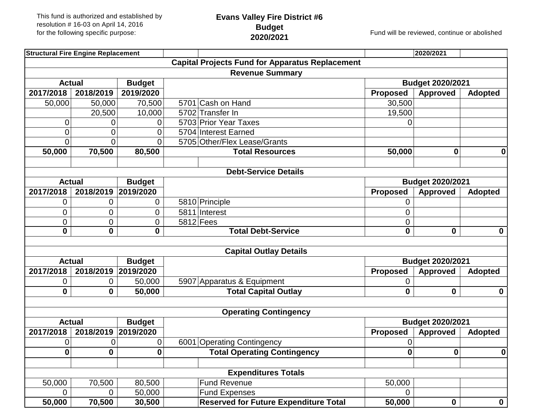# **Evans Valley Fire District #6 Budget**

**2020/2021** Fund will be reviewed, continue or abolished

| <b>Structural Fire Engine Replacement</b> |                                |                               |                                                        |                   | 2020/2021               |                  |
|-------------------------------------------|--------------------------------|-------------------------------|--------------------------------------------------------|-------------------|-------------------------|------------------|
|                                           |                                |                               | <b>Capital Projects Fund for Apparatus Replacement</b> |                   |                         |                  |
|                                           |                                |                               | <b>Revenue Summary</b>                                 |                   |                         |                  |
| <b>Budget</b><br><b>Actual</b>            |                                |                               |                                                        |                   | <b>Budget 2020/2021</b> |                  |
| 2017/2018                                 | 2018/2019                      | 2019/2020                     |                                                        | <b>Proposed</b>   | <b>Approved</b>         | <b>Adopted</b>   |
| 50,000                                    | 50,000                         | 70,500                        | 5701 Cash on Hand                                      | 30,500            |                         |                  |
|                                           | 20,500                         | 10,000                        | 5702 Transfer In                                       | 19,500            |                         |                  |
| 0                                         | 0                              | 0                             | 5703 Prior Year Taxes                                  | 0                 |                         |                  |
| 0                                         | 0                              | 0                             | 5704 Interest Earned                                   |                   |                         |                  |
| 0                                         | 0                              | 0                             | 5705 Other/Flex Lease/Grants                           |                   |                         |                  |
| 50,000                                    | 70,500                         | 80,500                        | <b>Total Resources</b>                                 | 50,000            | $\bf{0}$                | 0                |
|                                           |                                |                               |                                                        |                   |                         |                  |
|                                           |                                |                               | <b>Debt-Service Details</b>                            |                   |                         |                  |
| <b>Actual</b>                             |                                | <b>Budget</b>                 |                                                        |                   | <b>Budget 2020/2021</b> |                  |
| 2017/2018                                 | 2018/2019                      | 2019/2020                     |                                                        | <b>Proposed</b>   | <b>Approved</b>         | <b>Adopted</b>   |
| 0                                         | 0                              | 0                             | 5810 Principle                                         | 0                 |                         |                  |
| 0                                         | 0                              | $\mathbf 0$                   | 5811 Interest                                          | 0                 |                         |                  |
| 0<br>$\mathbf{0}$                         | 0<br>$\mathbf{0}$              | $\overline{0}$<br>$\mathbf 0$ | $5812$ Fees<br><b>Total Debt-Service</b>               | 0<br>$\mathbf{0}$ | $\mathbf 0$             |                  |
|                                           |                                |                               |                                                        |                   |                         | $\mathbf 0$      |
|                                           |                                |                               | <b>Capital Outlay Details</b>                          |                   |                         |                  |
| <b>Actual</b>                             |                                | <b>Budget</b>                 |                                                        |                   | <b>Budget 2020/2021</b> |                  |
| 2017/2018                                 | 2018/2019                      | 2019/2020                     |                                                        | <b>Proposed</b>   | Approved                | <b>Adopted</b>   |
| 0                                         | 0                              | 50,000                        | 5907 Apparatus & Equipment                             | 0                 |                         |                  |
| $\bf{0}$                                  | 0                              | 50,000                        | <b>Total Capital Outlay</b>                            | $\bf{0}$          | $\mathbf 0$             | $\boldsymbol{0}$ |
|                                           |                                |                               |                                                        |                   |                         |                  |
|                                           |                                |                               | <b>Operating Contingency</b>                           |                   |                         |                  |
|                                           | <b>Actual</b><br><b>Budget</b> |                               |                                                        |                   | Budget 2020/2021        |                  |
| 2017/2018                                 | 2018/2019                      | 2019/2020                     |                                                        | <b>Proposed</b>   | <b>Approved</b>         | <b>Adopted</b>   |
| 0                                         | 0                              | 0                             | 6001 Operating Contingency                             | 0                 |                         |                  |
| $\boldsymbol{0}$                          | 0                              | 0                             | <b>Total Operating Contingency</b>                     | $\mathbf{0}$      | 0                       | $\mathbf 0$      |
|                                           |                                |                               | <b>Expenditures Totals</b>                             |                   |                         |                  |
| 50,000                                    | 70,500                         | 80,500                        | <b>Fund Revenue</b>                                    | 50,000            |                         |                  |
| $\overline{0}$                            | 0                              | 50,000                        | <b>Fund Expenses</b>                                   | $\overline{0}$    |                         |                  |
| 50,000                                    | 70,500                         | 30,500                        | <b>Reserved for Future Expenditure Total</b>           | 50,000            | $\mathbf 0$             | $\mathbf{0}$     |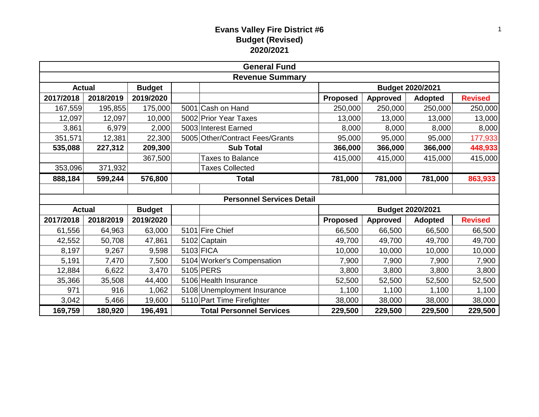## **Evans Valley Fire District #6 Budget (Revised) 2020/2021**

| <b>General Fund</b> |                        |               |  |                                  |                  |                 |                |                |  |  |
|---------------------|------------------------|---------------|--|----------------------------------|------------------|-----------------|----------------|----------------|--|--|
|                     | <b>Revenue Summary</b> |               |  |                                  |                  |                 |                |                |  |  |
| <b>Actual</b>       |                        | <b>Budget</b> |  |                                  | Budget 2020/2021 |                 |                |                |  |  |
| 2017/2018           | 2018/2019              | 2019/2020     |  |                                  | <b>Proposed</b>  | <b>Approved</b> | <b>Adopted</b> | <b>Revised</b> |  |  |
| 167,559             | 195,855                | 175,000       |  | 5001 Cash on Hand                | 250,000          | 250,000         | 250,000        | 250,000        |  |  |
| 12,097              | 12,097                 | 10,000        |  | 5002 Prior Year Taxes            | 13,000           | 13,000          | 13,000         | 13,000         |  |  |
| 3,861               | 6,979                  | 2,000         |  | 5003 Interest Earned             | 8,000            | 8,000           | 8,000          | 8,000          |  |  |
| 351,571             | 12,381                 | 22,300        |  | 5005 Other/Contract Fees/Grants  | 95,000           | 95,000          | 95,000         | 177,933        |  |  |
| 535,088             | 227,312                | 209,300       |  | <b>Sub Total</b>                 | 366,000          | 366,000         | 366,000        | 448,933        |  |  |
|                     |                        | 367,500       |  | <b>Taxes to Balance</b>          | 415,000          | 415,000         | 415,000        | 415,000        |  |  |
| 353,096             | 371,932                |               |  | <b>Taxes Collected</b>           |                  |                 |                |                |  |  |
| 888,184             | 599,244                | 576,800       |  | <b>Total</b>                     | 781,000          | 781,000         | 781,000        | 863,933        |  |  |
|                     |                        |               |  |                                  |                  |                 |                |                |  |  |
|                     |                        |               |  | <b>Personnel Services Detail</b> |                  |                 |                |                |  |  |
| <b>Actual</b>       |                        | <b>Budget</b> |  |                                  | Budget 2020/2021 |                 |                |                |  |  |
| 2017/2018           | 2018/2019              | 2019/2020     |  |                                  | <b>Proposed</b>  | <b>Approved</b> | <b>Adopted</b> | <b>Revised</b> |  |  |
| 61,556              | 64,963                 | 63,000        |  | 5101 Fire Chief                  | 66,500           | 66,500          | 66,500         | 66,500         |  |  |
| 42,552              | 50,708                 | 47,861        |  | 5102 Captain                     | 49,700           | 49,700          | 49,700         | 49,700         |  |  |
| 8,197               | 9,267                  | 9,598         |  | 5103 FICA                        | 10,000           | 10,000          | 10,000         | 10,000         |  |  |
| 5,191               | 7,470                  | 7,500         |  | 5104 Worker's Compensation       | 7,900            | 7,900           | 7,900          | 7,900          |  |  |
| 12,884              | 6,622                  | 3,470         |  | 5105 PERS                        | 3,800            | 3,800           | 3,800          | 3,800          |  |  |
| 35,366              | 35,508                 | 44,400        |  | 5106 Health Insurance            | 52,500           | 52,500          | 52,500         | 52,500         |  |  |
| 971                 | 916                    | 1,062         |  | 5108 Unemployment Insurance      | 1,100            | 1,100           | 1,100          | 1,100          |  |  |
| 3,042               | 5,466                  | 19,600        |  | 5110 Part Time Firefighter       | 38,000           | 38,000          | 38,000         | 38,000         |  |  |
| 169,759             | 180,920                | 196,491       |  | <b>Total Personnel Services</b>  | 229,500          | 229,500         | 229,500        | 229,500        |  |  |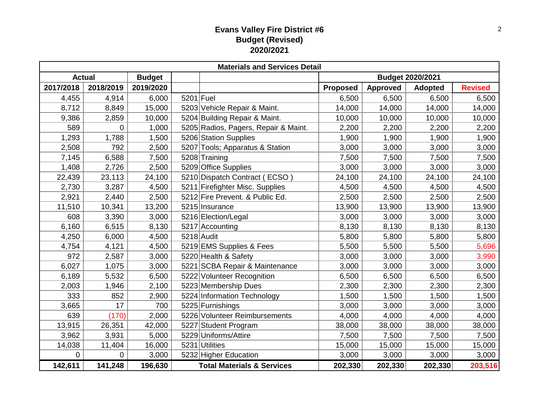## **Evans Valley Fire District #6 Budget (Revised) 2020/2021**

|           | <b>Materials and Services Detail</b> |               |           |                                       |                         |                 |                |                |  |  |
|-----------|--------------------------------------|---------------|-----------|---------------------------------------|-------------------------|-----------------|----------------|----------------|--|--|
|           | <b>Actual</b>                        | <b>Budget</b> |           |                                       | <b>Budget 2020/2021</b> |                 |                |                |  |  |
| 2017/2018 | 2018/2019                            | 2019/2020     |           |                                       | <b>Proposed</b>         | <b>Approved</b> | <b>Adopted</b> | <b>Revised</b> |  |  |
| 4,455     | 4,914                                | 6,000         | 5201 Fuel |                                       | 6,500                   | 6,500           | 6,500          | 6,500          |  |  |
| 8,712     | 8,849                                | 15,000        |           | 5203 Vehicle Repair & Maint.          | 14,000                  | 14,000          | 14,000         | 14,000         |  |  |
| 9,386     | 2,859                                | 10,000        |           | 5204 Building Repair & Maint.         | 10,000                  | 10,000          | 10,000         | 10,000         |  |  |
| 589       | 0                                    | 1,000         |           | 5205 Radios, Pagers, Repair & Maint.  | 2,200                   | 2,200           | 2,200          | 2,200          |  |  |
| 1,293     | 1,788                                | 1,500         |           | 5206 Station Supplies                 | 1,900                   | 1,900           | 1,900          | 1,900          |  |  |
| 2,508     | 792                                  | 2,500         | 5207      | Tools; Apparatus & Station            | 3,000                   | 3,000           | 3,000          | 3,000          |  |  |
| 7,145     | 6,588                                | 7,500         |           | 5208 Training                         | 7,500                   | 7,500           | 7,500          | 7,500          |  |  |
| 1,408     | 2,726                                | 2,500         |           | 5209 Office Supplies                  | 3,000                   | 3,000           | 3,000          | 3,000          |  |  |
| 22,439    | 23,113                               | 24,100        |           | 5210 Dispatch Contract (ECSO)         | 24,100                  | 24,100          | 24,100         | 24,100         |  |  |
| 2,730     | 3,287                                | 4,500         |           | 5211 Firefighter Misc. Supplies       | 4,500                   | 4,500           | 4,500          | 4,500          |  |  |
| 2,921     | 2,440                                | 2,500         |           | 5212 Fire Prevent. & Public Ed.       | 2,500                   | 2,500           | 2,500          | 2,500          |  |  |
| 11,510    | 10,341                               | 13,200        |           | 5215 Insurance                        | 13,900                  | 13,900          | 13,900         | 13,900         |  |  |
| 608       | 3,390                                | 3,000         |           | 5216 Election/Legal                   | 3,000                   | 3,000           | 3,000          | 3,000          |  |  |
| 6,160     | 6,515                                | 8,130         |           | 5217 Accounting                       | 8,130                   | 8,130           | 8,130          | 8,130          |  |  |
| 4,250     | 6,000                                | 4,500         |           | 5218 Audit                            | 5,800                   | 5,800           | 5,800          | 5,800          |  |  |
| 4,754     | 4,121                                | 4,500         |           | 5219 EMS Supplies & Fees              | 5,500                   | 5,500           | 5,500          | 5,696          |  |  |
| 972       | 2,587                                | 3,000         |           | 5220 Health & Safety                  | 3,000                   | 3,000           | 3,000          | 3,990          |  |  |
| 6,027     | 1,075                                | 3,000         |           | 5221 SCBA Repair & Maintenance        | 3,000                   | 3,000           | 3,000          | 3,000          |  |  |
| 6,189     | 5,532                                | 6,500         |           | 5222 Volunteer Recognition            | 6,500                   | 6,500           | 6,500          | 6,500          |  |  |
| 2,003     | 1,946                                | 2,100         |           | 5223 Membership Dues                  | 2,300                   | 2,300           | 2,300          | 2,300          |  |  |
| 333       | 852                                  | 2,900         |           | 5224 Information Technology           | 1,500                   | 1,500           | 1,500          | 1,500          |  |  |
| 3,665     | 17                                   | 700           |           | 5225 Furnishings                      | 3,000                   | 3,000           | 3,000          | 3,000          |  |  |
| 639       | (170)                                | 2,000         |           | 5226 Volunteer Reimbursements         | 4,000                   | 4,000           | 4,000          | 4,000          |  |  |
| 13,915    | 26,351                               | 42,000        |           | 5227 Student Program                  | 38,000                  | 38,000          | 38,000         | 38,000         |  |  |
| 3,962     | 3,931                                | 5,000         | 5229      | Uniforms/Attire                       | 7,500                   | 7,500           | 7,500          | 7,500          |  |  |
| 14,038    | 11,404                               | 16,000        |           | 5231 Utilities                        | 15,000                  | 15,000          | 15,000         | 15,000         |  |  |
| 0         | 0                                    | 3,000         |           | 5232 Higher Education                 | 3,000                   | 3,000           | 3,000          | 3,000          |  |  |
| 142,611   | 141,248                              | 196,630       |           | <b>Total Materials &amp; Services</b> | 202,330                 | 202,330         | 202,330        | 203,516        |  |  |